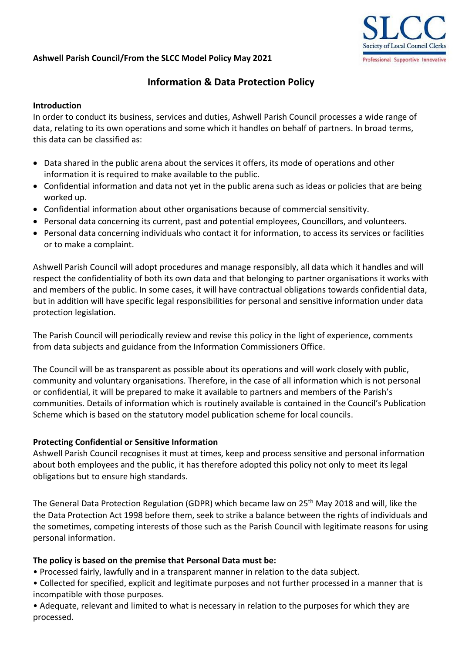# **Ashwell Parish Council/From the SLCC Model Policy May 2021**



# **Information & Data Protection Policy**

### **Introduction**

In order to conduct its business, services and duties, Ashwell Parish Council processes a wide range of data, relating to its own operations and some which it handles on behalf of partners. In broad terms, this data can be classified as:

- Data shared in the public arena about the services it offers, its mode of operations and other information it is required to make available to the public.
- Confidential information and data not yet in the public arena such as ideas or policies that are being worked up.
- Confidential information about other organisations because of commercial sensitivity.
- Personal data concerning its current, past and potential employees, Councillors, and volunteers.
- Personal data concerning individuals who contact it for information, to access its services or facilities or to make a complaint.

Ashwell Parish Council will adopt procedures and manage responsibly, all data which it handles and will respect the confidentiality of both its own data and that belonging to partner organisations it works with and members of the public. In some cases, it will have contractual obligations towards confidential data, but in addition will have specific legal responsibilities for personal and sensitive information under data protection legislation.

The Parish Council will periodically review and revise this policy in the light of experience, comments from data subjects and guidance from the Information Commissioners Office.

The Council will be as transparent as possible about its operations and will work closely with public, community and voluntary organisations. Therefore, in the case of all information which is not personal or confidential, it will be prepared to make it available to partners and members of the Parish's communities. Details of information which is routinely available is contained in the Council's Publication Scheme which is based on the statutory model publication scheme for local councils.

### **Protecting Confidential or Sensitive Information**

Ashwell Parish Council recognises it must at times, keep and process sensitive and personal information about both employees and the public, it has therefore adopted this policy not only to meet its legal obligations but to ensure high standards.

The General Data Protection Regulation (GDPR) which became law on 25<sup>th</sup> May 2018 and will, like the the Data Protection Act 1998 before them, seek to strike a balance between the rights of individuals and the sometimes, competing interests of those such as the Parish Council with legitimate reasons for using personal information.

### **The policy is based on the premise that Personal Data must be:**

• Processed fairly, lawfully and in a transparent manner in relation to the data subject.

• Collected for specified, explicit and legitimate purposes and not further processed in a manner that is incompatible with those purposes.

• Adequate, relevant and limited to what is necessary in relation to the purposes for which they are processed.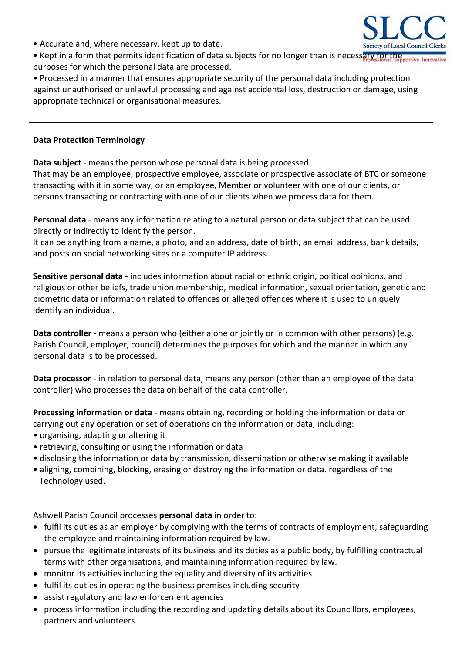• Accurate and, where necessary, kept up to date.



• Kept in a form that permits identification of data subjects for no longer than is necessary for the poortive Innovati purposes for which the personal data are processed.

• Processed in a manner that ensures appropriate security of the personal data including protection against unauthorised or unlawful processing and against accidental loss, destruction or damage, using appropriate technical or organisational measures.

#### **Data Protection Terminology**

**Data subject** - means the person whose personal data is being processed.

That may be an employee, prospective employee, associate or prospective associate of BTC or someone transacting with it in some way, or an employee, Member or volunteer with one of our clients, or persons transacting or contracting with one of our clients when we process data for them.

**Personal data** - means any information relating to a natural person or data subject that can be used directly or indirectly to identify the person.

It can be anything from a name, a photo, and an address, date of birth, an email address, bank details, and posts on social networking sites or a computer IP address.

**Sensitive personal data** - includes information about racial or ethnic origin, political opinions, and religious or other beliefs, trade union membership, medical information, sexual orientation, genetic and biometric data or information related to offences or alleged offences where it is used to uniquely identify an individual.

**Data controller** - means a person who (either alone or jointly or in common with other persons) (e.g. Parish Council, employer, council) determines the purposes for which and the manner in which any personal data is to be processed.

**Data processor** - in relation to personal data, means any person (other than an employee of the data controller) who processes the data on behalf of the data controller.

**Processing information or data** - means obtaining, recording or holding the information or data or carrying out any operation or set of operations on the information or data, including:

- organising, adapting or altering it
- retrieving, consulting or using the information or data
- disclosing the information or data by transmission, dissemination or otherwise making it available
- aligning, combining, blocking, erasing or destroying the information or data. regardless of the Technology used.

Ashwell Parish Council processes **personal data** in order to:

- fulfil its duties as an employer by complying with the terms of contracts of employment, safeguarding the employee and maintaining information required by law.
- pursue the legitimate interests of its business and its duties as a public body, by fulfilling contractual terms with other organisations, and maintaining information required by law.
- monitor its activities including the equality and diversity of its activities
- fulfil its duties in operating the business premises including security
- assist regulatory and law enforcement agencies
- process information including the recording and updating details about its Councillors, employees, partners and volunteers.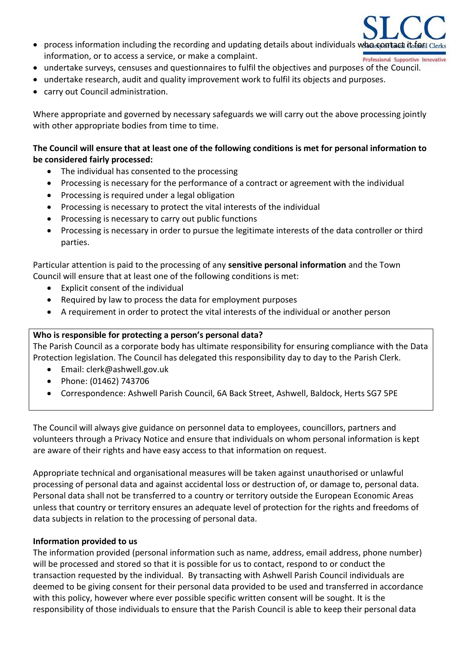- process information including the recording and updating details about individuals who contact it form information, or to access a service, or make a complaint. Professional Supportive Innovative
- undertake surveys, censuses and questionnaires to fulfil the objectives and purposes of the Council.
- undertake research, audit and quality improvement work to fulfil its objects and purposes.
- carry out Council administration.

Where appropriate and governed by necessary safeguards we will carry out the above processing jointly with other appropriate bodies from time to time.

## **The Council will ensure that at least one of the following conditions is met for personal information to be considered fairly processed:**

- The individual has consented to the processing
- Processing is necessary for the performance of a contract or agreement with the individual
- Processing is required under a legal obligation
- Processing is necessary to protect the vital interests of the individual
- Processing is necessary to carry out public functions
- Processing is necessary in order to pursue the legitimate interests of the data controller or third parties.

Particular attention is paid to the processing of any **sensitive personal information** and the Town Council will ensure that at least one of the following conditions is met:

- Explicit consent of the individual
- Required by law to process the data for employment purposes
- A requirement in order to protect the vital interests of the individual or another person

#### **Who is responsible for protecting a person's personal data?**

The Parish Council as a corporate body has ultimate responsibility for ensuring compliance with the Data Protection legislation. The Council has delegated this responsibility day to day to the Parish Clerk.

- Email: clerk@ashwell.gov.uk
- Phone: (01462) 743706
- Correspondence: Ashwell Parish Council, 6A Back Street, Ashwell, Baldock, Herts SG7 5PE

The Council will always give guidance on personnel data to employees, councillors, partners and volunteers through a Privacy Notice and ensure that individuals on whom personal information is kept are aware of their rights and have easy access to that information on request.

Appropriate technical and organisational measures will be taken against unauthorised or unlawful processing of personal data and against accidental loss or destruction of, or damage to, personal data. Personal data shall not be transferred to a country or territory outside the European Economic Areas unless that country or territory ensures an adequate level of protection for the rights and freedoms of data subjects in relation to the processing of personal data.

#### **Information provided to us**

The information provided (personal information such as name, address, email address, phone number) will be processed and stored so that it is possible for us to contact, respond to or conduct the transaction requested by the individual. By transacting with Ashwell Parish Council individuals are deemed to be giving consent for their personal data provided to be used and transferred in accordance with this policy, however where ever possible specific written consent will be sought. It is the responsibility of those individuals to ensure that the Parish Council is able to keep their personal data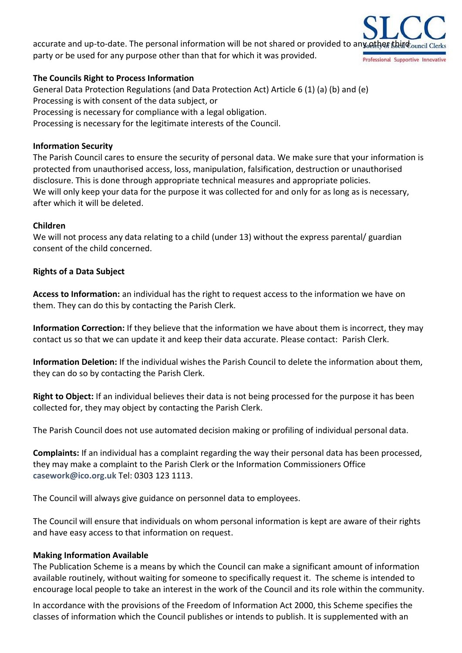accurate and up-to-date. The personal information will be not shared or provided to any other third ouncil Cler party or be used for any purpose other than that for which it was provided. Professional Supportive Innovative

### **The Councils Right to Process Information**

General Data Protection Regulations (and Data Protection Act) Article 6 (1) (a) (b) and (e) Processing is with consent of the data subject, or Processing is necessary for compliance with a legal obligation. Processing is necessary for the legitimate interests of the Council.

#### **Information Security**

The Parish Council cares to ensure the security of personal data. We make sure that your information is protected from unauthorised access, loss, manipulation, falsification, destruction or unauthorised disclosure. This is done through appropriate technical measures and appropriate policies. We will only keep your data for the purpose it was collected for and only for as long as is necessary, after which it will be deleted.

#### **Children**

We will not process any data relating to a child (under 13) without the express parental/ guardian consent of the child concerned.

### **Rights of a Data Subject**

**Access to Information:** an individual has the right to request access to the information we have on them. They can do this by contacting the Parish Clerk.

**Information Correction:** If they believe that the information we have about them is incorrect, they may contact us so that we can update it and keep their data accurate. Please contact: Parish Clerk.

**Information Deletion:** If the individual wishes the Parish Council to delete the information about them, they can do so by contacting the Parish Clerk.

**Right to Object:** If an individual believes their data is not being processed for the purpose it has been collected for, they may object by contacting the Parish Clerk.

The Parish Council does not use automated decision making or profiling of individual personal data.

**Complaints:** If an individual has a complaint regarding the way their personal data has been processed, they may make a complaint to the Parish Clerk or the Information Commissioners Office **[casework@ico.org.uk](mailto:casework@ico.org.uk)** Tel: 0303 123 1113.

The Council will always give guidance on personnel data to employees.

The Council will ensure that individuals on whom personal information is kept are aware of their rights and have easy access to that information on request.

#### **Making Information Available**

The Publication Scheme is a means by which the Council can make a significant amount of information available routinely, without waiting for someone to specifically request it. The scheme is intended to encourage local people to take an interest in the work of the Council and its role within the community.

In accordance with the provisions of the Freedom of Information Act 2000, this Scheme specifies the classes of information which the Council publishes or intends to publish. It is supplemented with an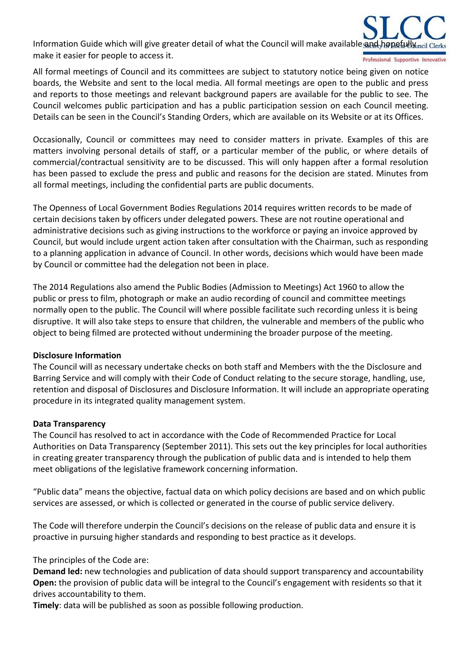Information Guide which will give greater detail of what the Council will make available and hopefully ncil Clerl make it easier for people to access it. Professional Supportive Innovative

All formal meetings of Council and its committees are subject to statutory notice being given on notice boards, the Website and sent to the local media. All formal meetings are open to the public and press and reports to those meetings and relevant background papers are available for the public to see. The Council welcomes public participation and has a public participation session on each Council meeting. Details can be seen in the Council's Standing Orders, which are available on its Website or at its Offices.

Occasionally, Council or committees may need to consider matters in private. Examples of this are matters involving personal details of staff, or a particular member of the public, or where details of commercial/contractual sensitivity are to be discussed. This will only happen after a formal resolution has been passed to exclude the press and public and reasons for the decision are stated. Minutes from all formal meetings, including the confidential parts are public documents.

The Openness of Local Government Bodies Regulations 2014 requires written records to be made of certain decisions taken by officers under delegated powers. These are not routine operational and administrative decisions such as giving instructions to the workforce or paying an invoice approved by Council, but would include urgent action taken after consultation with the Chairman, such as responding to a planning application in advance of Council. In other words, decisions which would have been made by Council or committee had the delegation not been in place.

The 2014 Regulations also amend the Public Bodies (Admission to Meetings) Act 1960 to allow the public or press to film, photograph or make an audio recording of council and committee meetings normally open to the public. The Council will where possible facilitate such recording unless it is being disruptive. It will also take steps to ensure that children, the vulnerable and members of the public who object to being filmed are protected without undermining the broader purpose of the meeting.

### **Disclosure Information**

The Council will as necessary undertake checks on both staff and Members with the the Disclosure and Barring Service and will comply with their Code of Conduct relating to the secure storage, handling, use, retention and disposal of Disclosures and Disclosure Information. It will include an appropriate operating procedure in its integrated quality management system.

#### **Data Transparency**

The Council has resolved to act in accordance with the Code of Recommended Practice for Local Authorities on Data Transparency (September 2011). This sets out the key principles for local authorities in creating greater transparency through the publication of public data and is intended to help them meet obligations of the legislative framework concerning information.

"Public data" means the objective, factual data on which policy decisions are based and on which public services are assessed, or which is collected or generated in the course of public service delivery.

The Code will therefore underpin the Council's decisions on the release of public data and ensure it is proactive in pursuing higher standards and responding to best practice as it develops.

The principles of the Code are:

**Demand led:** new technologies and publication of data should support transparency and accountability **Open:** the provision of public data will be integral to the Council's engagement with residents so that it drives accountability to them.

**Timely**: data will be published as soon as possible following production.